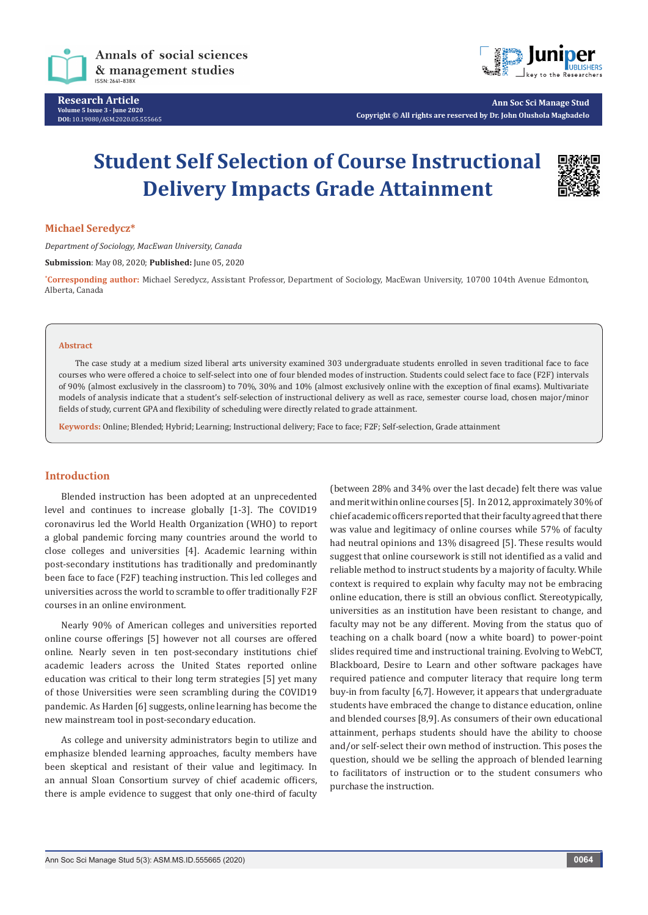



**Ann Soc Sci Manage Stud Copyright © All rights are reserved by Dr. John Olushola Magbadelo**

# **Student Self Selection of Course Instructional Delivery Impacts Grade Attainment**



## **Michael Seredycz\***

*Department of Sociology, MacEwan University, Canada*

**Submission**: May 08, 2020; **Published:** June 05, 2020

**\* Corresponding author:** Michael Seredycz, Assistant Professor, Department of Sociology, MacEwan University, 10700 104th Avenue Edmonton, Alberta, Canada

#### **Abstract**

The case study at a medium sized liberal arts university examined 303 undergraduate students enrolled in seven traditional face to face courses who were offered a choice to self-select into one of four blended modes of instruction. Students could select face to face (F2F) intervals of 90% (almost exclusively in the classroom) to 70%, 30% and 10% (almost exclusively online with the exception of final exams). Multivariate models of analysis indicate that a student's self-selection of instructional delivery as well as race, semester course load, chosen major/minor fields of study, current GPA and flexibility of scheduling were directly related to grade attainment.

**Keywords:** Online; Blended; Hybrid; Learning; Instructional delivery; Face to face; F2F; Self-selection, Grade attainment

# **Introduction**

Blended instruction has been adopted at an unprecedented level and continues to increase globally [1-3]. The COVID19 coronavirus led the World Health Organization (WHO) to report a global pandemic forcing many countries around the world to close colleges and universities [4]. Academic learning within post-secondary institutions has traditionally and predominantly been face to face (F2F) teaching instruction. This led colleges and universities across the world to scramble to offer traditionally F2F courses in an online environment.

Nearly 90% of American colleges and universities reported online course offerings [5] however not all courses are offered online. Nearly seven in ten post-secondary institutions chief academic leaders across the United States reported online education was critical to their long term strategies [5] yet many of those Universities were seen scrambling during the COVID19 pandemic. As Harden [6] suggests, online learning has become the new mainstream tool in post-secondary education.

As college and university administrators begin to utilize and emphasize blended learning approaches, faculty members have been skeptical and resistant of their value and legitimacy. In an annual Sloan Consortium survey of chief academic officers, there is ample evidence to suggest that only one-third of faculty

(between 28% and 34% over the last decade) felt there was value and merit within online courses [5]. In 2012, approximately 30% of chief academic officers reported that their faculty agreed that there was value and legitimacy of online courses while 57% of faculty had neutral opinions and 13% disagreed [5]. These results would suggest that online coursework is still not identified as a valid and reliable method to instruct students by a majority of faculty. While context is required to explain why faculty may not be embracing online education, there is still an obvious conflict. Stereotypically, universities as an institution have been resistant to change, and faculty may not be any different. Moving from the status quo of teaching on a chalk board (now a white board) to power-point slides required time and instructional training. Evolving to WebCT, Blackboard, Desire to Learn and other software packages have required patience and computer literacy that require long term buy-in from faculty [6,7]. However, it appears that undergraduate students have embraced the change to distance education, online and blended courses [8,9]. As consumers of their own educational attainment, perhaps students should have the ability to choose and/or self-select their own method of instruction. This poses the question, should we be selling the approach of blended learning to facilitators of instruction or to the student consumers who purchase the instruction.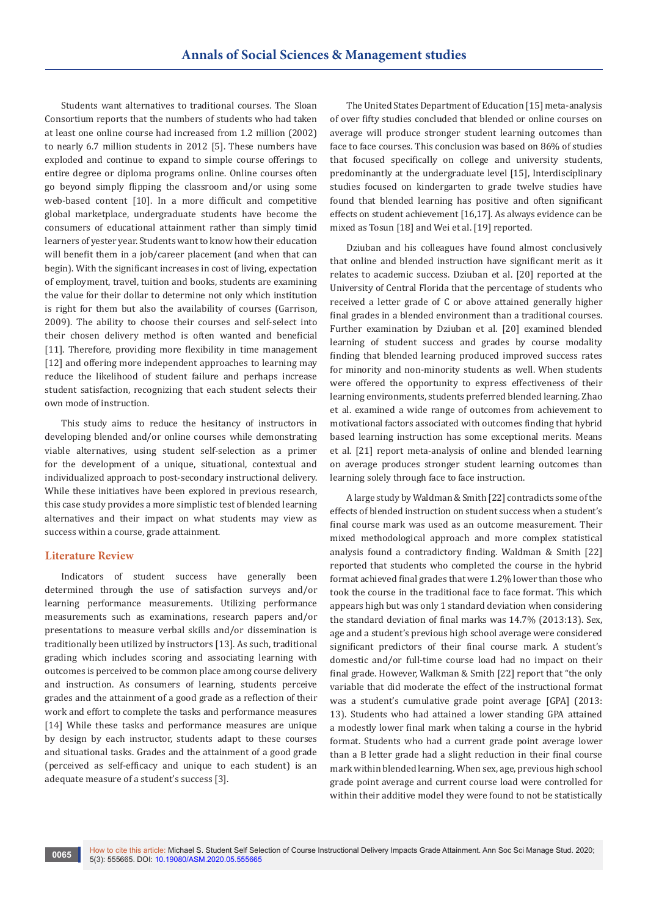Students want alternatives to traditional courses. The Sloan Consortium reports that the numbers of students who had taken at least one online course had increased from 1.2 million (2002) to nearly 6.7 million students in 2012 [5]. These numbers have exploded and continue to expand to simple course offerings to entire degree or diploma programs online. Online courses often go beyond simply flipping the classroom and/or using some web-based content [10]. In a more difficult and competitive global marketplace, undergraduate students have become the consumers of educational attainment rather than simply timid learners of yester year. Students want to know how their education will benefit them in a job/career placement (and when that can begin). With the significant increases in cost of living, expectation of employment, travel, tuition and books, students are examining the value for their dollar to determine not only which institution is right for them but also the availability of courses (Garrison, 2009). The ability to choose their courses and self-select into their chosen delivery method is often wanted and beneficial [11]. Therefore, providing more flexibility in time management [12] and offering more independent approaches to learning may reduce the likelihood of student failure and perhaps increase student satisfaction, recognizing that each student selects their own mode of instruction.

This study aims to reduce the hesitancy of instructors in developing blended and/or online courses while demonstrating viable alternatives, using student self-selection as a primer for the development of a unique, situational, contextual and individualized approach to post-secondary instructional delivery. While these initiatives have been explored in previous research, this case study provides a more simplistic test of blended learning alternatives and their impact on what students may view as success within a course, grade attainment.

# **Literature Review**

Indicators of student success have generally been determined through the use of satisfaction surveys and/or learning performance measurements. Utilizing performance measurements such as examinations, research papers and/or presentations to measure verbal skills and/or dissemination is traditionally been utilized by instructors [13]. As such, traditional grading which includes scoring and associating learning with outcomes is perceived to be common place among course delivery and instruction. As consumers of learning, students perceive grades and the attainment of a good grade as a reflection of their work and effort to complete the tasks and performance measures [14] While these tasks and performance measures are unique by design by each instructor, students adapt to these courses and situational tasks. Grades and the attainment of a good grade (perceived as self-efficacy and unique to each student) is an adequate measure of a student's success [3].

The United States Department of Education [15] meta-analysis of over fifty studies concluded that blended or online courses on average will produce stronger student learning outcomes than face to face courses. This conclusion was based on 86% of studies that focused specifically on college and university students, predominantly at the undergraduate level [15], Interdisciplinary studies focused on kindergarten to grade twelve studies have found that blended learning has positive and often significant effects on student achievement [16,17]. As always evidence can be mixed as Tosun [18] and Wei et al. [19] reported.

Dziuban and his colleagues have found almost conclusively that online and blended instruction have significant merit as it relates to academic success. Dziuban et al. [20] reported at the University of Central Florida that the percentage of students who received a letter grade of C or above attained generally higher final grades in a blended environment than a traditional courses. Further examination by Dziuban et al. [20] examined blended learning of student success and grades by course modality finding that blended learning produced improved success rates for minority and non-minority students as well. When students were offered the opportunity to express effectiveness of their learning environments, students preferred blended learning. Zhao et al. examined a wide range of outcomes from achievement to motivational factors associated with outcomes finding that hybrid based learning instruction has some exceptional merits. Means et al. [21] report meta-analysis of online and blended learning on average produces stronger student learning outcomes than learning solely through face to face instruction.

A large study by Waldman & Smith [22] contradicts some of the effects of blended instruction on student success when a student's final course mark was used as an outcome measurement. Their mixed methodological approach and more complex statistical analysis found a contradictory finding. Waldman & Smith [22] reported that students who completed the course in the hybrid format achieved final grades that were 1.2% lower than those who took the course in the traditional face to face format. This which appears high but was only 1 standard deviation when considering the standard deviation of final marks was 14.7% (2013:13). Sex, age and a student's previous high school average were considered significant predictors of their final course mark. A student's domestic and/or full-time course load had no impact on their final grade. However, Walkman & Smith [22] report that "the only variable that did moderate the effect of the instructional format was a student's cumulative grade point average [GPA] (2013: 13). Students who had attained a lower standing GPA attained a modestly lower final mark when taking a course in the hybrid format. Students who had a current grade point average lower than a B letter grade had a slight reduction in their final course mark within blended learning. When sex, age, previous high school grade point average and current course load were controlled for within their additive model they were found to not be statistically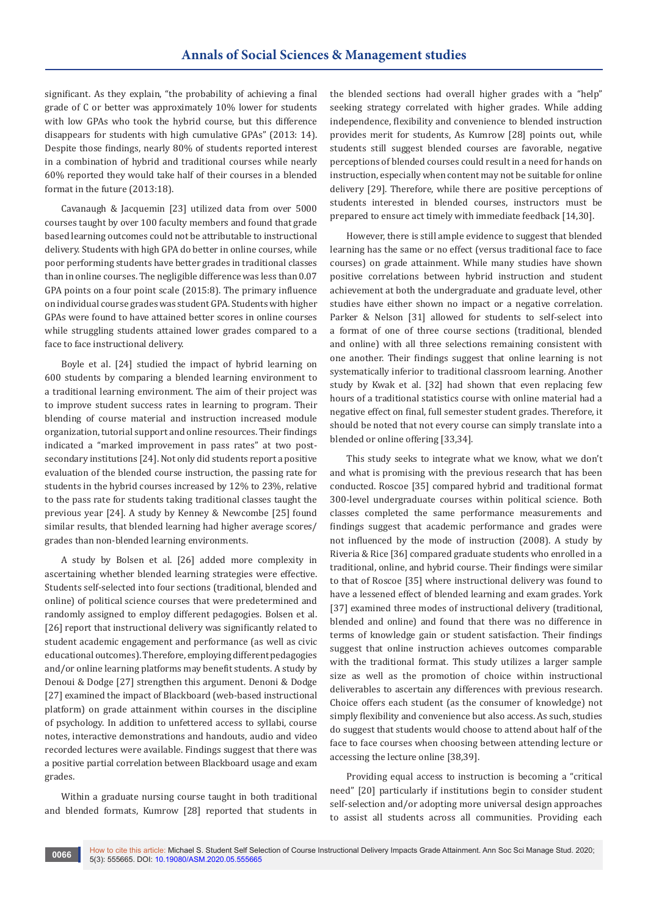significant. As they explain, "the probability of achieving a final grade of C or better was approximately 10% lower for students with low GPAs who took the hybrid course, but this difference disappears for students with high cumulative GPAs" (2013: 14). Despite those findings, nearly 80% of students reported interest in a combination of hybrid and traditional courses while nearly 60% reported they would take half of their courses in a blended format in the future (2013:18).

Cavanaugh & Jacquemin [23] utilized data from over 5000 courses taught by over 100 faculty members and found that grade based learning outcomes could not be attributable to instructional delivery. Students with high GPA do better in online courses, while poor performing students have better grades in traditional classes than in online courses. The negligible difference was less than 0.07 GPA points on a four point scale (2015:8). The primary influence on individual course grades was student GPA. Students with higher GPAs were found to have attained better scores in online courses while struggling students attained lower grades compared to a face to face instructional delivery.

Boyle et al. [24] studied the impact of hybrid learning on 600 students by comparing a blended learning environment to a traditional learning environment. The aim of their project was to improve student success rates in learning to program. Their blending of course material and instruction increased module organization, tutorial support and online resources. Their findings indicated a "marked improvement in pass rates" at two postsecondary institutions [24]. Not only did students report a positive evaluation of the blended course instruction, the passing rate for students in the hybrid courses increased by 12% to 23%, relative to the pass rate for students taking traditional classes taught the previous year [24]. A study by Kenney & Newcombe [25] found similar results, that blended learning had higher average scores/ grades than non-blended learning environments.

A study by Bolsen et al. [26] added more complexity in ascertaining whether blended learning strategies were effective. Students self-selected into four sections (traditional, blended and online) of political science courses that were predetermined and randomly assigned to employ different pedagogies. Bolsen et al. [26] report that instructional delivery was significantly related to student academic engagement and performance (as well as civic educational outcomes). Therefore, employing different pedagogies and/or online learning platforms may benefit students. A study by Denoui & Dodge [27] strengthen this argument. Denoni & Dodge [27] examined the impact of Blackboard (web-based instructional platform) on grade attainment within courses in the discipline of psychology. In addition to unfettered access to syllabi, course notes, interactive demonstrations and handouts, audio and video recorded lectures were available. Findings suggest that there was a positive partial correlation between Blackboard usage and exam grades.

Within a graduate nursing course taught in both traditional and blended formats, Kumrow [28] reported that students in the blended sections had overall higher grades with a "help" seeking strategy correlated with higher grades. While adding independence, flexibility and convenience to blended instruction provides merit for students, As Kumrow [28] points out, while students still suggest blended courses are favorable, negative perceptions of blended courses could result in a need for hands on instruction, especially when content may not be suitable for online delivery [29]. Therefore, while there are positive perceptions of students interested in blended courses, instructors must be prepared to ensure act timely with immediate feedback [14,30].

However, there is still ample evidence to suggest that blended learning has the same or no effect (versus traditional face to face courses) on grade attainment. While many studies have shown positive correlations between hybrid instruction and student achievement at both the undergraduate and graduate level, other studies have either shown no impact or a negative correlation. Parker & Nelson [31] allowed for students to self-select into a format of one of three course sections (traditional, blended and online) with all three selections remaining consistent with one another. Their findings suggest that online learning is not systematically inferior to traditional classroom learning. Another study by Kwak et al. [32] had shown that even replacing few hours of a traditional statistics course with online material had a negative effect on final, full semester student grades. Therefore, it should be noted that not every course can simply translate into a blended or online offering [33,34].

This study seeks to integrate what we know, what we don't and what is promising with the previous research that has been conducted. Roscoe [35] compared hybrid and traditional format 300-level undergraduate courses within political science. Both classes completed the same performance measurements and findings suggest that academic performance and grades were not influenced by the mode of instruction (2008). A study by Riveria & Rice [36] compared graduate students who enrolled in a traditional, online, and hybrid course. Their findings were similar to that of Roscoe [35] where instructional delivery was found to have a lessened effect of blended learning and exam grades. York [37] examined three modes of instructional delivery (traditional, blended and online) and found that there was no difference in terms of knowledge gain or student satisfaction. Their findings suggest that online instruction achieves outcomes comparable with the traditional format. This study utilizes a larger sample size as well as the promotion of choice within instructional deliverables to ascertain any differences with previous research. Choice offers each student (as the consumer of knowledge) not simply flexibility and convenience but also access. As such, studies do suggest that students would choose to attend about half of the face to face courses when choosing between attending lecture or accessing the lecture online [38,39].

Providing equal access to instruction is becoming a "critical need" [20] particularly if institutions begin to consider student self-selection and/or adopting more universal design approaches to assist all students across all communities. Providing each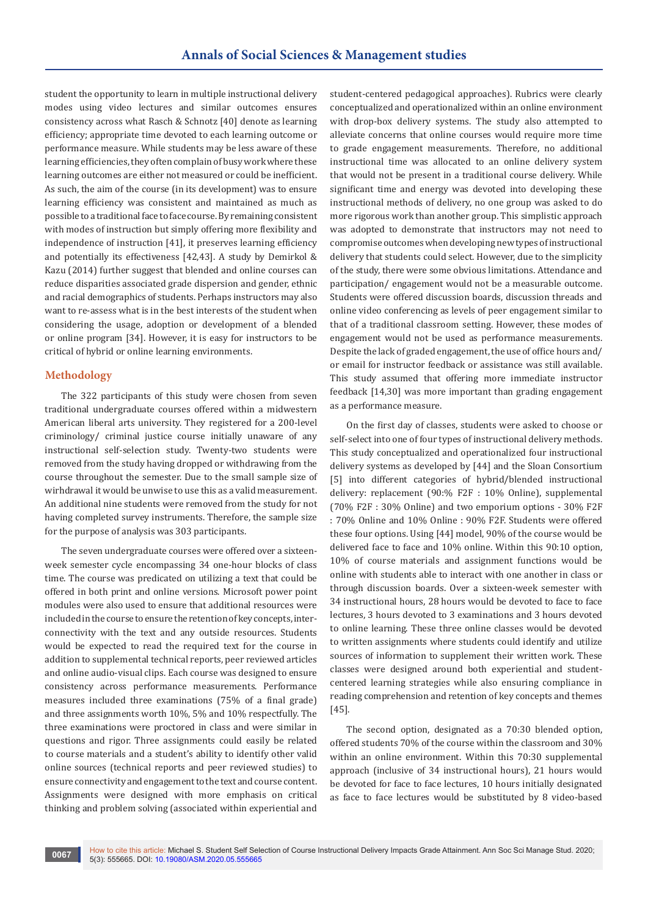student the opportunity to learn in multiple instructional delivery modes using video lectures and similar outcomes ensures consistency across what Rasch & Schnotz [40] denote as learning efficiency; appropriate time devoted to each learning outcome or performance measure. While students may be less aware of these learning efficiencies, they often complain of busy work where these learning outcomes are either not measured or could be inefficient. As such, the aim of the course (in its development) was to ensure learning efficiency was consistent and maintained as much as possible to a traditional face to face course. By remaining consistent with modes of instruction but simply offering more flexibility and independence of instruction [41], it preserves learning efficiency and potentially its effectiveness [42,43]. A study by Demirkol & Kazu (2014) further suggest that blended and online courses can reduce disparities associated grade dispersion and gender, ethnic and racial demographics of students. Perhaps instructors may also want to re-assess what is in the best interests of the student when considering the usage, adoption or development of a blended or online program [34]. However, it is easy for instructors to be critical of hybrid or online learning environments.

# **Methodology**

The 322 participants of this study were chosen from seven traditional undergraduate courses offered within a midwestern American liberal arts university. They registered for a 200-level criminology/ criminal justice course initially unaware of any instructional self-selection study. Twenty-two students were removed from the study having dropped or withdrawing from the course throughout the semester. Due to the small sample size of wirhdrawal it would be unwise to use this as a valid measurement. An additional nine students were removed from the study for not having completed survey instruments. Therefore, the sample size for the purpose of analysis was 303 participants.

The seven undergraduate courses were offered over a sixteenweek semester cycle encompassing 34 one-hour blocks of class time. The course was predicated on utilizing a text that could be offered in both print and online versions. Microsoft power point modules were also used to ensure that additional resources were included in the course to ensure the retention of key concepts, interconnectivity with the text and any outside resources. Students would be expected to read the required text for the course in addition to supplemental technical reports, peer reviewed articles and online audio-visual clips. Each course was designed to ensure consistency across performance measurements. Performance measures included three examinations (75% of a final grade) and three assignments worth 10%, 5% and 10% respectfully. The three examinations were proctored in class and were similar in questions and rigor. Three assignments could easily be related to course materials and a student's ability to identify other valid online sources (technical reports and peer reviewed studies) to ensure connectivity and engagement to the text and course content. Assignments were designed with more emphasis on critical thinking and problem solving (associated within experiential and

student-centered pedagogical approaches). Rubrics were clearly conceptualized and operationalized within an online environment with drop-box delivery systems. The study also attempted to alleviate concerns that online courses would require more time to grade engagement measurements. Therefore, no additional instructional time was allocated to an online delivery system that would not be present in a traditional course delivery. While significant time and energy was devoted into developing these instructional methods of delivery, no one group was asked to do more rigorous work than another group. This simplistic approach was adopted to demonstrate that instructors may not need to compromise outcomes when developing new types of instructional delivery that students could select. However, due to the simplicity of the study, there were some obvious limitations. Attendance and participation/ engagement would not be a measurable outcome. Students were offered discussion boards, discussion threads and online video conferencing as levels of peer engagement similar to that of a traditional classroom setting. However, these modes of engagement would not be used as performance measurements. Despite the lack of graded engagement, the use of office hours and/ or email for instructor feedback or assistance was still available. This study assumed that offering more immediate instructor feedback [14,30] was more important than grading engagement as a performance measure.

On the first day of classes, students were asked to choose or self-select into one of four types of instructional delivery methods. This study conceptualized and operationalized four instructional delivery systems as developed by [44] and the Sloan Consortium [5] into different categories of hybrid/blended instructional delivery: replacement (90:% F2F : 10% Online), supplemental (70% F2F : 30% Online) and two emporium options - 30% F2F : 70% Online and 10% Online : 90% F2F. Students were offered these four options. Using [44] model, 90% of the course would be delivered face to face and 10% online. Within this 90:10 option, 10% of course materials and assignment functions would be online with students able to interact with one another in class or through discussion boards. Over a sixteen-week semester with 34 instructional hours, 28 hours would be devoted to face to face lectures, 3 hours devoted to 3 examinations and 3 hours devoted to online learning. These three online classes would be devoted to written assignments where students could identify and utilize sources of information to supplement their written work. These classes were designed around both experiential and studentcentered learning strategies while also ensuring compliance in reading comprehension and retention of key concepts and themes [45].

The second option, designated as a 70:30 blended option, offered students 70% of the course within the classroom and 30% within an online environment. Within this 70:30 supplemental approach (inclusive of 34 instructional hours), 21 hours would be devoted for face to face lectures, 10 hours initially designated as face to face lectures would be substituted by 8 video-based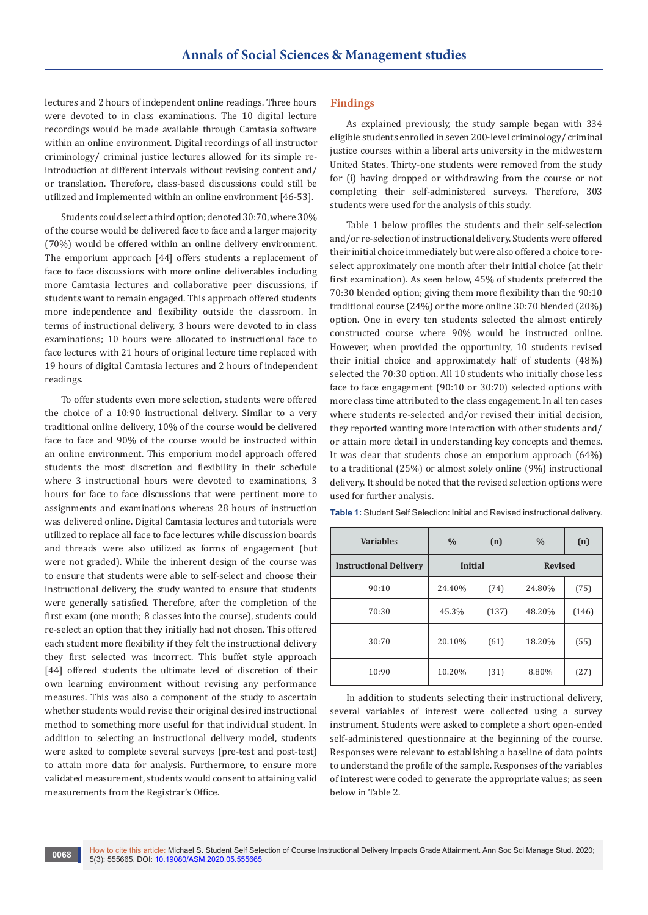lectures and 2 hours of independent online readings. Three hours were devoted to in class examinations. The 10 digital lecture recordings would be made available through Camtasia software within an online environment. Digital recordings of all instructor criminology/ criminal justice lectures allowed for its simple reintroduction at different intervals without revising content and/ or translation. Therefore, class-based discussions could still be utilized and implemented within an online environment [46-53].

Students could select a third option; denoted 30:70, where 30% of the course would be delivered face to face and a larger majority (70%) would be offered within an online delivery environment. The emporium approach [44] offers students a replacement of face to face discussions with more online deliverables including more Camtasia lectures and collaborative peer discussions, if students want to remain engaged. This approach offered students more independence and flexibility outside the classroom. In terms of instructional delivery, 3 hours were devoted to in class examinations; 10 hours were allocated to instructional face to face lectures with 21 hours of original lecture time replaced with 19 hours of digital Camtasia lectures and 2 hours of independent readings.

To offer students even more selection, students were offered the choice of a 10:90 instructional delivery. Similar to a very traditional online delivery, 10% of the course would be delivered face to face and 90% of the course would be instructed within an online environment. This emporium model approach offered students the most discretion and flexibility in their schedule where 3 instructional hours were devoted to examinations, 3 hours for face to face discussions that were pertinent more to assignments and examinations whereas 28 hours of instruction was delivered online. Digital Camtasia lectures and tutorials were utilized to replace all face to face lectures while discussion boards and threads were also utilized as forms of engagement (but were not graded). While the inherent design of the course was to ensure that students were able to self-select and choose their instructional delivery, the study wanted to ensure that students were generally satisfied. Therefore, after the completion of the first exam (one month; 8 classes into the course), students could re-select an option that they initially had not chosen. This offered each student more flexibility if they felt the instructional delivery they first selected was incorrect. This buffet style approach [44] offered students the ultimate level of discretion of their own learning environment without revising any performance measures. This was also a component of the study to ascertain whether students would revise their original desired instructional method to something more useful for that individual student. In addition to selecting an instructional delivery model, students were asked to complete several surveys (pre-test and post-test) to attain more data for analysis. Furthermore, to ensure more validated measurement, students would consent to attaining valid measurements from the Registrar's Office.

# **Findings**

As explained previously, the study sample began with 334 eligible students enrolled in seven 200-level criminology/ criminal justice courses within a liberal arts university in the midwestern United States. Thirty-one students were removed from the study for (i) having dropped or withdrawing from the course or not completing their self-administered surveys. Therefore, 303 students were used for the analysis of this study.

Table 1 below profiles the students and their self-selection and/or re-selection of instructional delivery. Students were offered their initial choice immediately but were also offered a choice to reselect approximately one month after their initial choice (at their first examination). As seen below, 45% of students preferred the 70:30 blended option; giving them more flexibility than the 90:10 traditional course (24%) or the more online 30:70 blended (20%) option. One in every ten students selected the almost entirely constructed course where 90% would be instructed online. However, when provided the opportunity, 10 students revised their initial choice and approximately half of students (48%) selected the 70:30 option. All 10 students who initially chose less face to face engagement (90:10 or 30:70) selected options with more class time attributed to the class engagement. In all ten cases where students re-selected and/or revised their initial decision, they reported wanting more interaction with other students and/ or attain more detail in understanding key concepts and themes. It was clear that students chose an emporium approach (64%) to a traditional (25%) or almost solely online (9%) instructional delivery. It should be noted that the revised selection options were used for further analysis.

| <b>Variables</b>              | $\frac{0}{0}$  | (n)   | $\frac{0}{0}$  | (n)   |
|-------------------------------|----------------|-------|----------------|-------|
| <b>Instructional Delivery</b> | <b>Initial</b> |       | <b>Revised</b> |       |
| 90:10                         | 24.40%         | (74)  | 24.80%         | (75)  |
| 70:30                         | 45.3%          | (137) | 48.20%         | (146) |
| 30:70                         | 20.10%         | (61)  | 18.20%         | (55)  |
| 10:90                         | 10.20%         | (31)  | 8.80%          | (27)  |

**Table 1:** Student Self Selection: Initial and Revised instructional delivery.

In addition to students selecting their instructional delivery, several variables of interest were collected using a survey instrument. Students were asked to complete a short open-ended self-administered questionnaire at the beginning of the course. Responses were relevant to establishing a baseline of data points to understand the profile of the sample. Responses of the variables of interest were coded to generate the appropriate values; as seen below in Table 2.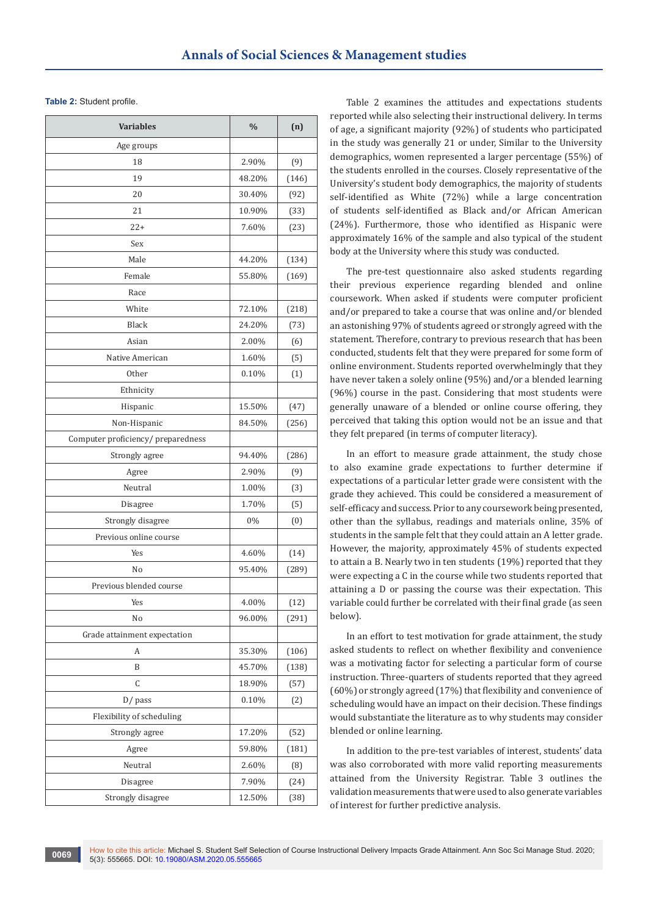**Table 2:** Student profile.

| <b>Variables</b>                   | $\frac{0}{0}$ | (n)   |
|------------------------------------|---------------|-------|
| Age groups                         |               |       |
| 18                                 | 2.90%         | (9)   |
| 19                                 | 48.20%        | (146) |
| 20                                 | 30.40%        | (92)  |
| 21                                 | 10.90%        | (33)  |
| $22+$                              | 7.60%         | (23)  |
| Sex                                |               |       |
| Male                               | 44.20%        | (134) |
| Female                             | 55.80%        | (169) |
| Race                               |               |       |
| White                              | 72.10%        | (218) |
| <b>Black</b>                       | 24.20%        | (73)  |
| Asian                              | 2.00%         | (6)   |
| Native American                    | 1.60%         | (5)   |
| Other                              | 0.10%         | (1)   |
| Ethnicity                          |               |       |
| Hispanic                           | 15.50%        | (47)  |
| Non-Hispanic                       | 84.50%        | (256) |
| Computer proficiency/ preparedness |               |       |
| Strongly agree                     | 94.40%        | (286) |
| Agree                              | 2.90%         | (9)   |
| Neutral                            | 1.00%         | (3)   |
| Disagree                           | 1.70%         | (5)   |
| Strongly disagree                  | 0%            | (0)   |
| Previous online course             |               |       |
| Yes                                | 4.60%         | (14)  |
| No                                 | 95.40%        | (289) |
| Previous blended course            |               |       |
| Yes                                | $4.00\%$      | (12)  |
| No                                 | 96.00%        | (291) |
| Grade attainment expectation       |               |       |
| А                                  | 35.30%        | (106) |
| B                                  | 45.70%        | (138) |
| C                                  | 18.90%        | (57)  |
| D/ pass                            | 0.10%         | (2)   |
| Flexibility of scheduling          |               |       |
| Strongly agree                     | 17.20%        | (52)  |
| Agree                              | 59.80%        | (181) |
| Neutral                            | 2.60%         | (8)   |
| Disagree                           | 7.90%         | (24)  |
| Strongly disagree                  | 12.50%        | (38)  |

Table 2 examines the attitudes and expectations students reported while also selecting their instructional delivery. In terms of age, a significant majority (92%) of students who participated in the study was generally 21 or under, Similar to the University demographics, women represented a larger percentage (55%) of the students enrolled in the courses. Closely representative of the University's student body demographics, the majority of students self-identified as White (72%) while a large concentration of students self-identified as Black and/or African American (24%). Furthermore, those who identified as Hispanic were approximately 16% of the sample and also typical of the student body at the University where this study was conducted.

The pre-test questionnaire also asked students regarding their previous experience regarding blended and online coursework. When asked if students were computer proficient and/or prepared to take a course that was online and/or blended an astonishing 97% of students agreed or strongly agreed with the statement. Therefore, contrary to previous research that has been conducted, students felt that they were prepared for some form of online environment. Students reported overwhelmingly that they have never taken a solely online (95%) and/or a blended learning (96%) course in the past. Considering that most students were generally unaware of a blended or online course offering, they perceived that taking this option would not be an issue and that they felt prepared (in terms of computer literacy).

In an effort to measure grade attainment, the study chose to also examine grade expectations to further determine if expectations of a particular letter grade were consistent with the grade they achieved. This could be considered a measurement of self-efficacy and success. Prior to any coursework being presented, other than the syllabus, readings and materials online, 35% of students in the sample felt that they could attain an A letter grade. However, the majority, approximately 45% of students expected to attain a B. Nearly two in ten students (19%) reported that they were expecting a C in the course while two students reported that attaining a D or passing the course was their expectation. This variable could further be correlated with their final grade (as seen below).

In an effort to test motivation for grade attainment, the study asked students to reflect on whether flexibility and convenience was a motivating factor for selecting a particular form of course instruction. Three-quarters of students reported that they agreed (60%) or strongly agreed (17%) that flexibility and convenience of scheduling would have an impact on their decision. These findings would substantiate the literature as to why students may consider blended or online learning.

In addition to the pre-test variables of interest, students' data was also corroborated with more valid reporting measurements attained from the University Registrar. Table 3 outlines the validation measurements that were used to also generate variables of interest for further predictive analysis.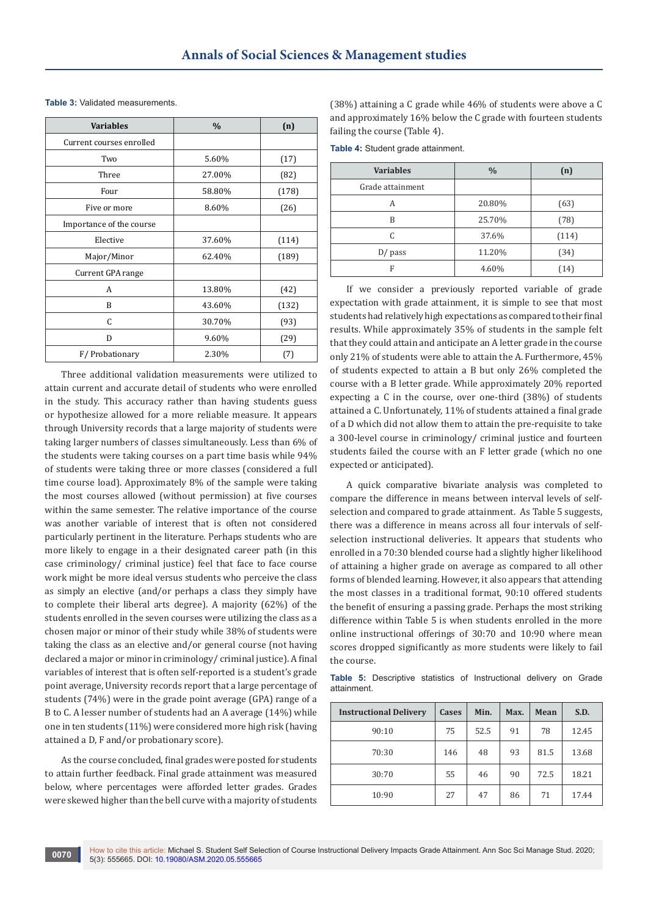| <b>Variables</b>         | $\frac{0}{0}$ | (n)   |
|--------------------------|---------------|-------|
| Current courses enrolled |               |       |
| Two                      | 5.60%         | (17)  |
| Three                    | 27.00%        | (82)  |
| Four                     | 58.80%        | (178) |
| Five or more             | 8.60%         | (26)  |
| Importance of the course |               |       |
| Elective                 | 37.60%        | (114) |
| Major/Minor              | 62.40%        | (189) |
| Current GPA range        |               |       |
| A                        | 13.80%        | (42)  |
| B                        | 43.60%        | (132) |
| C                        | 30.70%        | (93)  |
| D                        | 9.60%         | (29)  |
| F/Probationary           | 2.30%         | (7)   |

**Table 3:** Validated measurements.

Three additional validation measurements were utilized to attain current and accurate detail of students who were enrolled in the study. This accuracy rather than having students guess or hypothesize allowed for a more reliable measure. It appears through University records that a large majority of students were taking larger numbers of classes simultaneously. Less than 6% of the students were taking courses on a part time basis while 94% of students were taking three or more classes (considered a full time course load). Approximately 8% of the sample were taking the most courses allowed (without permission) at five courses within the same semester. The relative importance of the course was another variable of interest that is often not considered particularly pertinent in the literature. Perhaps students who are more likely to engage in a their designated career path (in this case criminology/ criminal justice) feel that face to face course work might be more ideal versus students who perceive the class as simply an elective (and/or perhaps a class they simply have to complete their liberal arts degree). A majority (62%) of the students enrolled in the seven courses were utilizing the class as a chosen major or minor of their study while 38% of students were taking the class as an elective and/or general course (not having declared a major or minor in criminology/ criminal justice). A final variables of interest that is often self-reported is a student's grade point average, University records report that a large percentage of students (74%) were in the grade point average (GPA) range of a B to C. A lesser number of students had an A average (14%) while one in ten students (11%) were considered more high risk (having attained a D, F and/or probationary score).

As the course concluded, final grades were posted for students to attain further feedback. Final grade attainment was measured below, where percentages were afforded letter grades. Grades were skewed higher than the bell curve with a majority of students

(38%) attaining a C grade while 46% of students were above a C and approximately 16% below the C grade with fourteen students failing the course (Table 4).

**Table 4:** Student grade attainment.

| <b>Variables</b> | $\frac{0}{0}$ | (n)   |
|------------------|---------------|-------|
| Grade attainment |               |       |
| A                | 20.80%        | (63)  |
| B                | 25.70%        | (78)  |
| C                | 37.6%         | (114) |
| $D/$ pass        | 11.20%        | (34)  |
| F                | 4.60%         | (14)  |

If we consider a previously reported variable of grade expectation with grade attainment, it is simple to see that most students had relatively high expectations as compared to their final results. While approximately 35% of students in the sample felt that they could attain and anticipate an A letter grade in the course only 21% of students were able to attain the A. Furthermore, 45% of students expected to attain a B but only 26% completed the course with a B letter grade. While approximately 20% reported expecting a C in the course, over one-third (38%) of students attained a C. Unfortunately, 11% of students attained a final grade of a D which did not allow them to attain the pre-requisite to take a 300-level course in criminology/ criminal justice and fourteen students failed the course with an F letter grade (which no one expected or anticipated).

A quick comparative bivariate analysis was completed to compare the difference in means between interval levels of selfselection and compared to grade attainment. As Table 5 suggests, there was a difference in means across all four intervals of selfselection instructional deliveries. It appears that students who enrolled in a 70:30 blended course had a slightly higher likelihood of attaining a higher grade on average as compared to all other forms of blended learning. However, it also appears that attending the most classes in a traditional format, 90:10 offered students the benefit of ensuring a passing grade. Perhaps the most striking difference within Table 5 is when students enrolled in the more online instructional offerings of 30:70 and 10:90 where mean scores dropped significantly as more students were likely to fail the course.

**Table 5:** Descriptive statistics of Instructional delivery on Grade attainment.

| <b>Instructional Delivery</b> | Cases | Min. | Max. | Mean | S.D.  |
|-------------------------------|-------|------|------|------|-------|
| 90:10                         | 75    | 52.5 | 91   | 78   | 12.45 |
| 70:30                         | 146   | 48   | 93   | 81.5 | 13.68 |
| 30:70                         | 55    | 46   | 90   | 72.5 | 18.21 |
| 10:90                         | 27    | 47   | 86   | 71   | 17.44 |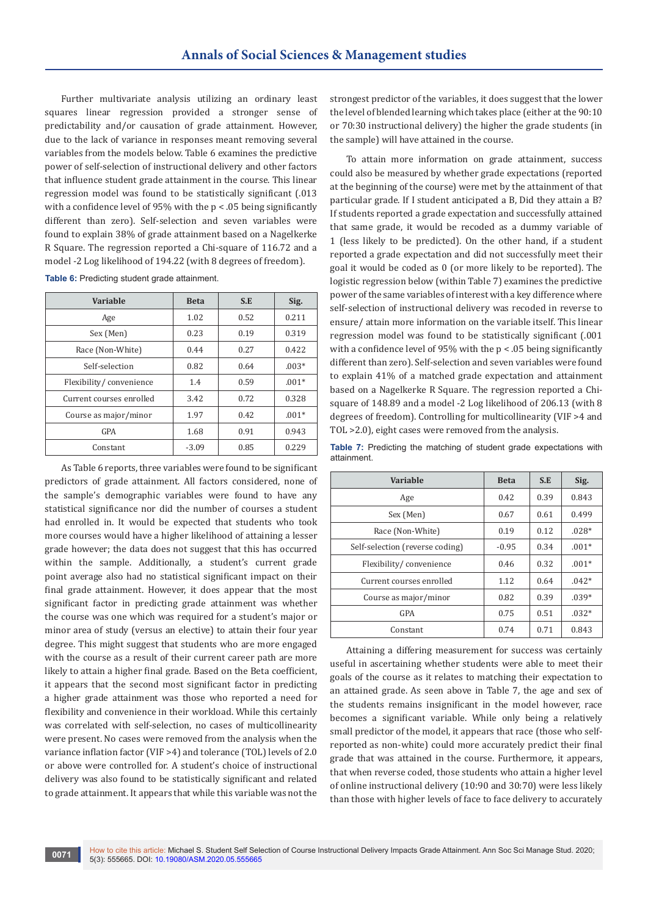Further multivariate analysis utilizing an ordinary least squares linear regression provided a stronger sense of predictability and/or causation of grade attainment. However, due to the lack of variance in responses meant removing several variables from the models below. Table 6 examines the predictive power of self-selection of instructional delivery and other factors that influence student grade attainment in the course. This linear regression model was found to be statistically significant (.013 with a confidence level of 95% with the  $p < 0.05$  being significantly different than zero). Self-selection and seven variables were found to explain 38% of grade attainment based on a Nagelkerke R Square. The regression reported a Chi-square of 116.72 and a model -2 Log likelihood of 194.22 (with 8 degrees of freedom).

| Variable                 | <b>Beta</b> | S.E  | Sig.    |
|--------------------------|-------------|------|---------|
| Age                      | 1.02        | 0.52 | 0.211   |
| Sex (Men)                | 0.23        | 0.19 | 0.319   |
| Race (Non-White)         | 0.44        | 0.27 | 0.422   |
| Self-selection           | 0.82        | 0.64 | $.003*$ |
| Flexibility/convenience  | 1.4         | 0.59 | $.001*$ |
| Current courses enrolled | 3.42        | 0.72 | 0.328   |
| Course as major/minor    | 1.97        | 0.42 | $.001*$ |
| GPA                      | 1.68        | 0.91 | 0.943   |
| Constant                 | $-3.09$     | 0.85 | 0.229   |

**Table 6:** Predicting student grade attainment.

As Table 6 reports, three variables were found to be significant predictors of grade attainment. All factors considered, none of the sample's demographic variables were found to have any statistical significance nor did the number of courses a student had enrolled in. It would be expected that students who took more courses would have a higher likelihood of attaining a lesser grade however; the data does not suggest that this has occurred within the sample. Additionally, a student's current grade point average also had no statistical significant impact on their final grade attainment. However, it does appear that the most significant factor in predicting grade attainment was whether the course was one which was required for a student's major or minor area of study (versus an elective) to attain their four year degree. This might suggest that students who are more engaged with the course as a result of their current career path are more likely to attain a higher final grade. Based on the Beta coefficient, it appears that the second most significant factor in predicting a higher grade attainment was those who reported a need for flexibility and convenience in their workload. While this certainly was correlated with self-selection, no cases of multicollinearity were present. No cases were removed from the analysis when the variance inflation factor (VIF >4) and tolerance (TOL) levels of 2.0 or above were controlled for. A student's choice of instructional delivery was also found to be statistically significant and related to grade attainment. It appears that while this variable was not the

strongest predictor of the variables, it does suggest that the lower the level of blended learning which takes place (either at the 90:10 or 70:30 instructional delivery) the higher the grade students (in the sample) will have attained in the course.

To attain more information on grade attainment, success could also be measured by whether grade expectations (reported at the beginning of the course) were met by the attainment of that particular grade. If I student anticipated a B, Did they attain a B? If students reported a grade expectation and successfully attained that same grade, it would be recoded as a dummy variable of 1 (less likely to be predicted). On the other hand, if a student reported a grade expectation and did not successfully meet their goal it would be coded as 0 (or more likely to be reported). The logistic regression below (within Table 7) examines the predictive power of the same variables of interest with a key difference where self-selection of instructional delivery was recoded in reverse to ensure/ attain more information on the variable itself. This linear regression model was found to be statistically significant (.001 with a confidence level of 95% with the  $p < 0.05$  being significantly different than zero). Self-selection and seven variables were found to explain 41% of a matched grade expectation and attainment based on a Nagelkerke R Square. The regression reported a Chisquare of 148.89 and a model -2 Log likelihood of 206.13 (with 8 degrees of freedom). Controlling for multicollinearity (VIF >4 and TOL >2.0), eight cases were removed from the analysis.

**Table 7:** Predicting the matching of student grade expectations with attainment.

| Variable                        | <b>Beta</b> | S.E  | Sig.    |
|---------------------------------|-------------|------|---------|
| Age                             | 0.42        | 0.39 | 0.843   |
| Sex (Men)                       | 0.67        | 0.61 | 0.499   |
| Race (Non-White)                | 0.19        | 0.12 | $.028*$ |
| Self-selection (reverse coding) | $-0.95$     | 0.34 | $.001*$ |
| Flexibility/convenience         | 0.46        | 0.32 | $.001*$ |
| Current courses enrolled        | 1.12        | 0.64 | $.042*$ |
| Course as major/minor           | 0.82        | 0.39 | $.039*$ |
| GPA                             | 0.75        | 0.51 | $.032*$ |
| Constant                        | 0.74        | 0.71 | 0.843   |

Attaining a differing measurement for success was certainly useful in ascertaining whether students were able to meet their goals of the course as it relates to matching their expectation to an attained grade. As seen above in Table 7, the age and sex of the students remains insignificant in the model however, race becomes a significant variable. While only being a relatively small predictor of the model, it appears that race (those who selfreported as non-white) could more accurately predict their final grade that was attained in the course. Furthermore, it appears, that when reverse coded, those students who attain a higher level of online instructional delivery (10:90 and 30:70) were less likely than those with higher levels of face to face delivery to accurately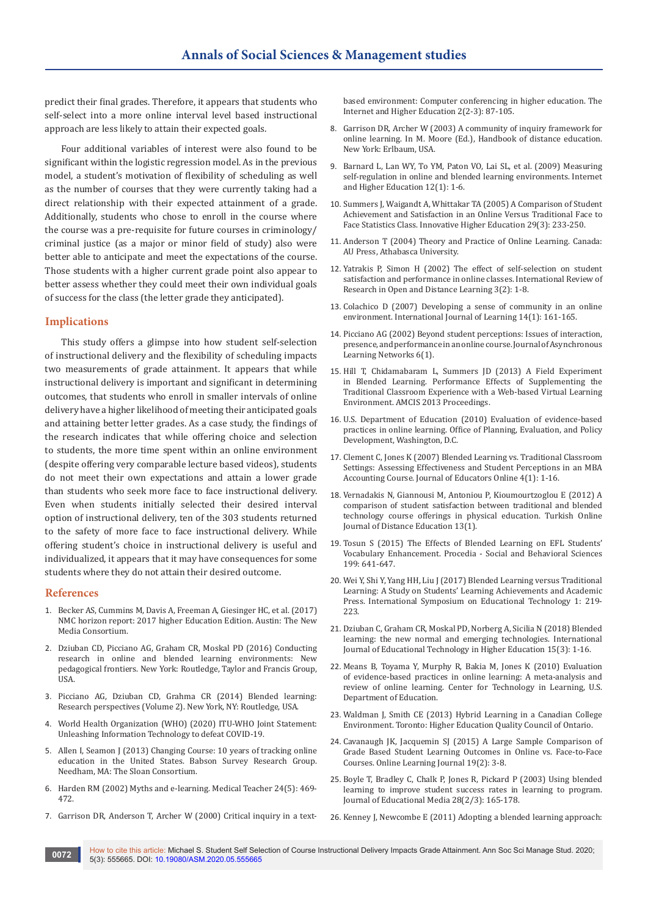predict their final grades. Therefore, it appears that students who self-select into a more online interval level based instructional approach are less likely to attain their expected goals.

Four additional variables of interest were also found to be significant within the logistic regression model. As in the previous model, a student's motivation of flexibility of scheduling as well as the number of courses that they were currently taking had a direct relationship with their expected attainment of a grade. Additionally, students who chose to enroll in the course where the course was a pre-requisite for future courses in criminology/ criminal justice (as a major or minor field of study) also were better able to anticipate and meet the expectations of the course. Those students with a higher current grade point also appear to better assess whether they could meet their own individual goals of success for the class (the letter grade they anticipated).

## **Implications**

This study offers a glimpse into how student self-selection of instructional delivery and the flexibility of scheduling impacts two measurements of grade attainment. It appears that while instructional delivery is important and significant in determining outcomes, that students who enroll in smaller intervals of online delivery have a higher likelihood of meeting their anticipated goals and attaining better letter grades. As a case study, the findings of the research indicates that while offering choice and selection to students, the more time spent within an online environment (despite offering very comparable lecture based videos), students do not meet their own expectations and attain a lower grade than students who seek more face to face instructional delivery. Even when students initially selected their desired interval option of instructional delivery, ten of the 303 students returned to the safety of more face to face instructional delivery. While offering student's choice in instructional delivery is useful and individualized, it appears that it may have consequences for some students where they do not attain their desired outcome.

#### **References**

- 1. [Becker AS, Cummins M, Davis A, Freeman A, Giesinger HC, et al. \(2017\)](https://eric.ed.gov/?id=ED582134)  [NMC horizon report: 2017 higher Education Edition. Austin: The New](https://eric.ed.gov/?id=ED582134)  [Media Consortium.](https://eric.ed.gov/?id=ED582134)
- 2. [Dziuban CD, Picciano AG, Graham CR, Moskal PD \(2016\) Conducting](https://www.taylorfrancis.com/books/e/9781315814605)  [research in online and blended learning environments: New](https://www.taylorfrancis.com/books/e/9781315814605)  [pedagogical frontiers. New York: Routledge, Taylor and Francis Group,](https://www.taylorfrancis.com/books/e/9781315814605)  [USA.](https://www.taylorfrancis.com/books/e/9781315814605)
- 3. Picciano AG, Dziuban CD, Grahma CR (2014) Blended learning: Research perspectives (Volume 2). New York, NY: Routledge, USA.
- 4. [World Health Organization \(WHO\) \(2020\) ITU-WHO Joint Statement:](https://www.who.int/news-room/detail/20-04-2020-itu-who-joint-statement-unleashing-information-technology-to-defeat-covid-19)  [Unleashing Information Technology to defeat COVID-19.](https://www.who.int/news-room/detail/20-04-2020-itu-who-joint-statement-unleashing-information-technology-to-defeat-covid-19)
- 5. [Allen I, Seamon J \(2013\) Changing Course: 10 years of tracking online](https://www.onlinelearningsurvey.com/reports/changingcourse.pdf)  [education in the United States. Babson Survey Research Group.](https://www.onlinelearningsurvey.com/reports/changingcourse.pdf)  [Needham, MA: The Sloan Consortium.](https://www.onlinelearningsurvey.com/reports/changingcourse.pdf)
- 6. Harden RM (2002) Myths and e-learning. Medical Teacher 24(5): 469- 472.
- 7. [Garrison DR, Anderson T, Archer W \(2000\) Critical inquiry in a text-](https://www.sciencedirect.com/science/article/abs/pii/S1096751600000166)

[based environment: Computer conferencing in higher education. The](https://www.sciencedirect.com/science/article/abs/pii/S1096751600000166)  [Internet and Higher Education 2\(2-3\): 87-105.](https://www.sciencedirect.com/science/article/abs/pii/S1096751600000166)

- 8. Garrison DR, Archer W (2003) A community of inquiry framework for online learning. In M. Moore (Ed.), Handbook of distance education. New York: Erlbaum, USA.
- 9. [Barnard L, Lan WY, To YM, Paton VO, Lai SL, et al. \(2009\) Measuring](https://www.sciencedirect.com/science/article/abs/pii/S1096751608000675)  [self-regulation in online and blended learning environments. Internet](https://www.sciencedirect.com/science/article/abs/pii/S1096751608000675)  [and Higher Education 12\(1\): 1-6.](https://www.sciencedirect.com/science/article/abs/pii/S1096751608000675)
- 10. [Summers J, Waigandt A, Whittakar TA \(2005\) A Comparison of Student](https://link.springer.com/article/10.1007/s10755-005-1938-x)  [Achievement and Satisfaction in an Online Versus Traditional Face to](https://link.springer.com/article/10.1007/s10755-005-1938-x)  [Face Statistics Class. Innovative Higher Education 29\(3\): 233-250.](https://link.springer.com/article/10.1007/s10755-005-1938-x)
- 11. Anderson T (2004) Theory and Practice of Online Learning. Canada: AU Press, Athabasca University.
- 12. [Yatrakis P, Simon H \(2002\) The effect of self-selection on student](http://www.irrodl.org/index.php/irrodl/article/view/93)  [satisfaction and performance in online classes. International Review of](http://www.irrodl.org/index.php/irrodl/article/view/93)  [Research in Open and Distance Learning 3\(2\): 1-8.](http://www.irrodl.org/index.php/irrodl/article/view/93)
- 13. Colachico D (2007) Developing a sense of community in an online environment. International Journal of Learning 14(1): 161-165.
- 14. [Picciano AG \(2002\) Beyond student perceptions: Issues of interaction,](https://olj.onlinelearningconsortium.org/index.php/olj/article/view/1870)  [presence, and performance in an online course. Journal of Asynchronous](https://olj.onlinelearningconsortium.org/index.php/olj/article/view/1870)  [Learning Networks 6\(1\).](https://olj.onlinelearningconsortium.org/index.php/olj/article/view/1870)
- 15. [Hill T, Chidamabaram L, Summers JD \(2013\) A Field Experiment](https://aisel.aisnet.org/amcis2013/ISEducation/GeneralPresentations/5/)  [in Blended Learning. Performance Effects of Supplementing the](https://aisel.aisnet.org/amcis2013/ISEducation/GeneralPresentations/5/)  [Traditional Classroom Experience with a Web-based Virtual Learning](https://aisel.aisnet.org/amcis2013/ISEducation/GeneralPresentations/5/)  [Environment. AMCIS 2013 Proceedings.](https://aisel.aisnet.org/amcis2013/ISEducation/GeneralPresentations/5/)
- 16. [U.S. Department of Education \(2010\) Evaluation of evidence-based](https://www2.ed.gov/rschstat/eval/tech/evidence-based-practices/finalreport.pdf)  [practices in online learning. Office of Planning, Evaluation, and Policy](https://www2.ed.gov/rschstat/eval/tech/evidence-based-practices/finalreport.pdf)  [Development, Washington, D.C.](https://www2.ed.gov/rschstat/eval/tech/evidence-based-practices/finalreport.pdf)
- 17. [Clement C, Jones K \(2007\) Blended Learning vs. Traditional Classroom](https://eric.ed.gov/?id=EJ907743)  [Settings: Assessing Effectiveness and Student Perceptions in an MBA](https://eric.ed.gov/?id=EJ907743)  [Accounting Course. Journal of Educators Online 4\(1\): 1-16.](https://eric.ed.gov/?id=EJ907743)
- 18. [Vernadakis N, Giannousi M, Antoniou P, Kioumourtzoglou E \(2012\) A](https://www.learntechlib.org/p/55310/)  [comparison of student satisfaction between traditional and blended](https://www.learntechlib.org/p/55310/)  [technology course offerings in physical education. Turkish Online](https://www.learntechlib.org/p/55310/)  [Journal of Distance Education 13\(1\).](https://www.learntechlib.org/p/55310/)
- 19. [Tosun S \(2015\) The Effects of Blended Learning on EFL Students'](https://www.sciencedirect.com/science/article/pii/S187704281504611X)  [Vocabulary Enhancement. Procedia - Social and Behavioral Sciences](https://www.sciencedirect.com/science/article/pii/S187704281504611X)  [199: 641-647.](https://www.sciencedirect.com/science/article/pii/S187704281504611X)
- 20. [Wei Y, Shi Y, Yang HH, Liu J \(2017\) Blended Learning versus Traditional](https://www.computer.org/csdl/proceedings-article/iset/2017/08005424/12OmNyvoXfK)  [Learning: A Study on Students' Learning Achievements and Academic](https://www.computer.org/csdl/proceedings-article/iset/2017/08005424/12OmNyvoXfK)  [Press. International Symposium on Educational Technology 1: 219-](https://www.computer.org/csdl/proceedings-article/iset/2017/08005424/12OmNyvoXfK) [223.](https://www.computer.org/csdl/proceedings-article/iset/2017/08005424/12OmNyvoXfK)
- 21. [Dziuban C, Graham CR, Moskal PD, Norberg A, Sicilia N \(2018\) Blended](https://link.springer.com/article/10.1186/s41239-017-0087-5)  [learning: the new normal and emerging technologies. International](https://link.springer.com/article/10.1186/s41239-017-0087-5)  [Journal of Educational Technology in Higher Education 15\(3\): 1-16.](https://link.springer.com/article/10.1186/s41239-017-0087-5)
- 22. [Means B, Toyama Y, Murphy R, Bakia M, Jones K \(2010\) Evaluation](https://www2.ed.gov/rschstat/eval/tech/evidence-based-practices/finalreport.pdf)  [of evidence-based practices in online learning: A meta-analysis and](https://www2.ed.gov/rschstat/eval/tech/evidence-based-practices/finalreport.pdf)  [review of online learning. Center for Technology in Learning, U.S.](https://www2.ed.gov/rschstat/eval/tech/evidence-based-practices/finalreport.pdf)  [Department of Education.](https://www2.ed.gov/rschstat/eval/tech/evidence-based-practices/finalreport.pdf)
- 23. [Waldman J, Smith CE \(2013\) Hybrid Learning in a Canadian College](http://www.heqco.ca/en-ca/Research/ResPub/Pages/Hybrid-Learning-in-a-Canadian-College-Environment.aspx)  [Environment. Toronto: Higher Education Quality Council of Ontario.](http://www.heqco.ca/en-ca/Research/ResPub/Pages/Hybrid-Learning-in-a-Canadian-College-Environment.aspx)
- 24. Cavanaugh JK, Jacquemin SJ (2015) A Large Sample Comparison of [Grade Based Student Learning Outcomes in Online vs. Face-to-Face](https://files.eric.ed.gov/fulltext/EJ1062940.pdf)  [Courses. Online Learning Journal 19\(2\): 3-8.](https://files.eric.ed.gov/fulltext/EJ1062940.pdf)
- 25. [Boyle T, Bradley C, Chalk P, Jones R, Pickard P \(2003\) Using blended](https://www.tandfonline.com/doi/abs/10.1080/1358165032000153160)  [learning to improve student success rates in learning to program.](https://www.tandfonline.com/doi/abs/10.1080/1358165032000153160)  [Journal of Educational Media 28\(2/3\): 165-178.](https://www.tandfonline.com/doi/abs/10.1080/1358165032000153160)
- 26. [Kenney J, Newcombe E \(2011\) Adopting a blended learning approach:](https://files.eric.ed.gov/fulltext/EJ918218.pdf)